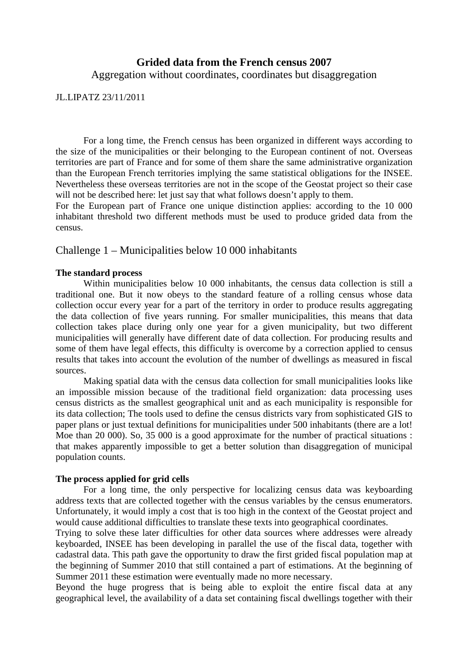# **Grided data from the French census 2007**

Aggregation without coordinates, coordinates but disaggregation

JL.LIPATZ 23/11/2011

For a long time, the French census has been organized in different ways according to the size of the municipalities or their belonging to the European continent of not. Overseas territories are part of France and for some of them share the same administrative organization than the European French territories implying the same statistical obligations for the INSEE. Nevertheless these overseas territories are not in the scope of the Geostat project so their case will not be described here: let just say that what follows doesn't apply to them.

For the European part of France one unique distinction applies: according to the 10 000 inhabitant threshold two different methods must be used to produce grided data from the census.

## Challenge 1 – Municipalities below 10 000 inhabitants

## **The standard process**

 Within municipalities below 10 000 inhabitants, the census data collection is still a traditional one. But it now obeys to the standard feature of a rolling census whose data collection occur every year for a part of the territory in order to produce results aggregating the data collection of five years running. For smaller municipalities, this means that data collection takes place during only one year for a given municipality, but two different municipalities will generally have different date of data collection. For producing results and some of them have legal effects, this difficulty is overcome by a correction applied to census results that takes into account the evolution of the number of dwellings as measured in fiscal sources.

 Making spatial data with the census data collection for small municipalities looks like an impossible mission because of the traditional field organization: data processing uses census districts as the smallest geographical unit and as each municipality is responsible for its data collection; The tools used to define the census districts vary from sophisticated GIS to paper plans or just textual definitions for municipalities under 500 inhabitants (there are a lot! Moe than 20 000). So, 35 000 is a good approximate for the number of practical situations : that makes apparently impossible to get a better solution than disaggregation of municipal population counts.

### **The process applied for grid cells**

 For a long time, the only perspective for localizing census data was keyboarding address texts that are collected together with the census variables by the census enumerators. Unfortunately, it would imply a cost that is too high in the context of the Geostat project and would cause additional difficulties to translate these texts into geographical coordinates.

Trying to solve these later difficulties for other data sources where addresses were already keyboarded, INSEE has been developing in parallel the use of the fiscal data, together with cadastral data. This path gave the opportunity to draw the first grided fiscal population map at the beginning of Summer 2010 that still contained a part of estimations. At the beginning of Summer 2011 these estimation were eventually made no more necessary.

Beyond the huge progress that is being able to exploit the entire fiscal data at any geographical level, the availability of a data set containing fiscal dwellings together with their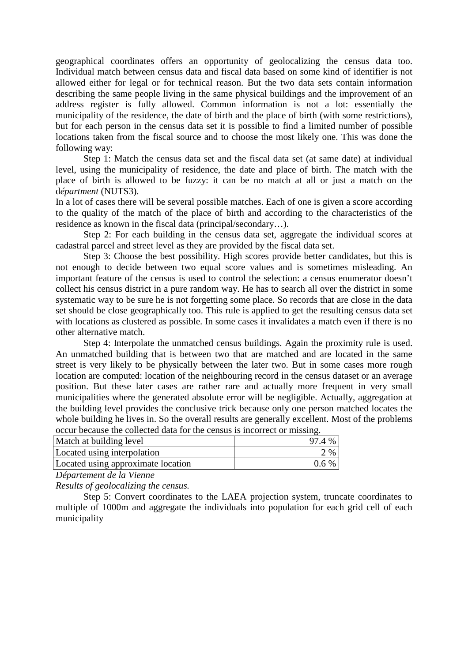geographical coordinates offers an opportunity of geolocalizing the census data too. Individual match between census data and fiscal data based on some kind of identifier is not allowed either for legal or for technical reason. But the two data sets contain information describing the same people living in the same physical buildings and the improvement of an address register is fully allowed. Common information is not a lot: essentially the municipality of the residence, the date of birth and the place of birth (with some restrictions), but for each person in the census data set it is possible to find a limited number of possible locations taken from the fiscal source and to choose the most likely one. This was done the following way:

 Step 1: Match the census data set and the fiscal data set (at same date) at individual level, using the municipality of residence, the date and place of birth. The match with the place of birth is allowed to be fuzzy: it can be no match at all or just a match on the d*épartment* (NUTS3).

In a lot of cases there will be several possible matches. Each of one is given a score according to the quality of the match of the place of birth and according to the characteristics of the residence as known in the fiscal data (principal/secondary…).

 Step 2: For each building in the census data set, aggregate the individual scores at cadastral parcel and street level as they are provided by the fiscal data set.

 Step 3: Choose the best possibility. High scores provide better candidates, but this is not enough to decide between two equal score values and is sometimes misleading. An important feature of the census is used to control the selection: a census enumerator doesn't collect his census district in a pure random way. He has to search all over the district in some systematic way to be sure he is not forgetting some place. So records that are close in the data set should be close geographically too. This rule is applied to get the resulting census data set with locations as clustered as possible. In some cases it invalidates a match even if there is no other alternative match.

 Step 4: Interpolate the unmatched census buildings. Again the proximity rule is used. An unmatched building that is between two that are matched and are located in the same street is very likely to be physically between the later two. But in some cases more rough location are computed: location of the neighbouring record in the census dataset or an average position. But these later cases are rather rare and actually more frequent in very small municipalities where the generated absolute error will be negligible. Actually, aggregation at the building level provides the conclusive trick because only one person matched locates the whole building he lives in. So the overall results are generally excellent. Most of the problems occur because the collected data for the census is incorrect or missing.

| Match at building level            | 97.4 %  |
|------------------------------------|---------|
| Located using interpolation        | 2 %     |
| Located using approximate location | $0.6\%$ |

*Département de la Vienne* 

*Results of geolocalizing the census.* 

 Step 5: Convert coordinates to the LAEA projection system, truncate coordinates to multiple of 1000m and aggregate the individuals into population for each grid cell of each municipality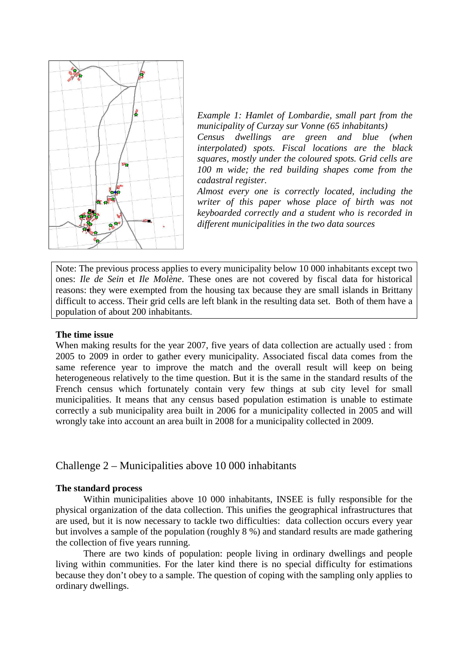

*Example 1: Hamlet of Lombardie, small part from the municipality of Curzay sur Vonne (65 inhabitants)* 

*Census dwellings are green and blue (when interpolated) spots. Fiscal locations are the black squares, mostly under the coloured spots. Grid cells are 100 m wide; the red building shapes come from the cadastral register.* 

*Almost every one is correctly located, including the writer of this paper whose place of birth was not keyboarded correctly and a student who is recorded in different municipalities in the two data sources*

Note: The previous process applies to every municipality below 10 000 inhabitants except two ones: *Ile de Sein* et *Ile Molène*. These ones are not covered by fiscal data for historical reasons: they were exempted from the housing tax because they are small islands in Brittany difficult to access. Their grid cells are left blank in the resulting data set. Both of them have a population of about 200 inhabitants.

### **The time issue**

When making results for the year 2007, five years of data collection are actually used : from 2005 to 2009 in order to gather every municipality. Associated fiscal data comes from the same reference year to improve the match and the overall result will keep on being heterogeneous relatively to the time question. But it is the same in the standard results of the French census which fortunately contain very few things at sub city level for small municipalities. It means that any census based population estimation is unable to estimate correctly a sub municipality area built in 2006 for a municipality collected in 2005 and will wrongly take into account an area built in 2008 for a municipality collected in 2009.

### Challenge 2 – Municipalities above 10 000 inhabitants

### **The standard process**

Within municipalities above 10 000 inhabitants, INSEE is fully responsible for the physical organization of the data collection. This unifies the geographical infrastructures that are used, but it is now necessary to tackle two difficulties: data collection occurs every year but involves a sample of the population (roughly 8 %) and standard results are made gathering the collection of five years running.

There are two kinds of population: people living in ordinary dwellings and people living within communities. For the later kind there is no special difficulty for estimations because they don't obey to a sample. The question of coping with the sampling only applies to ordinary dwellings.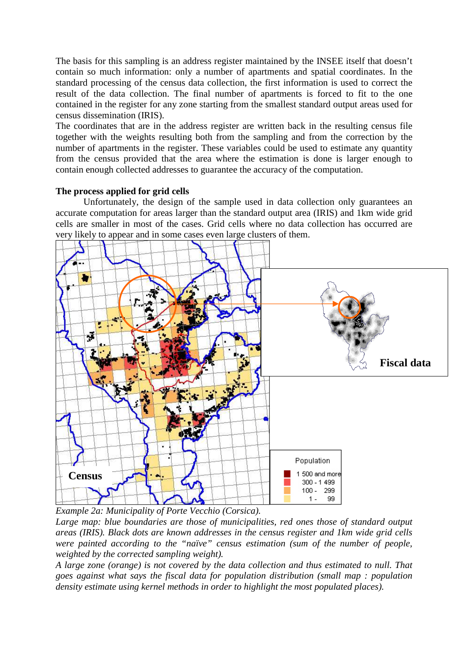The basis for this sampling is an address register maintained by the INSEE itself that doesn't contain so much information: only a number of apartments and spatial coordinates. In the standard processing of the census data collection, the first information is used to correct the result of the data collection. The final number of apartments is forced to fit to the one contained in the register for any zone starting from the smallest standard output areas used for census dissemination (IRIS).

The coordinates that are in the address register are written back in the resulting census file together with the weights resulting both from the sampling and from the correction by the number of apartments in the register. These variables could be used to estimate any quantity from the census provided that the area where the estimation is done is larger enough to contain enough collected addresses to guarantee the accuracy of the computation.

## **The process applied for grid cells**

Unfortunately, the design of the sample used in data collection only guarantees an accurate computation for areas larger than the standard output area (IRIS) and 1km wide grid cells are smaller in most of the cases. Grid cells where no data collection has occurred are very likely to appear and in some cases even large clusters of them.



*Example 2a: Municipality of Porte Vecchio (Corsica).* 

*Large map: blue boundaries are those of municipalities, red ones those of standard output areas (IRIS). Black dots are known addresses in the census register and 1km wide grid cells were painted according to the "naïve" census estimation (sum of the number of people, weighted by the corrected sampling weight).* 

*A large zone (orange) is not covered by the data collection and thus estimated to null. That goes against what says the fiscal data for population distribution (small map : population density estimate using kernel methods in order to highlight the most populated places).*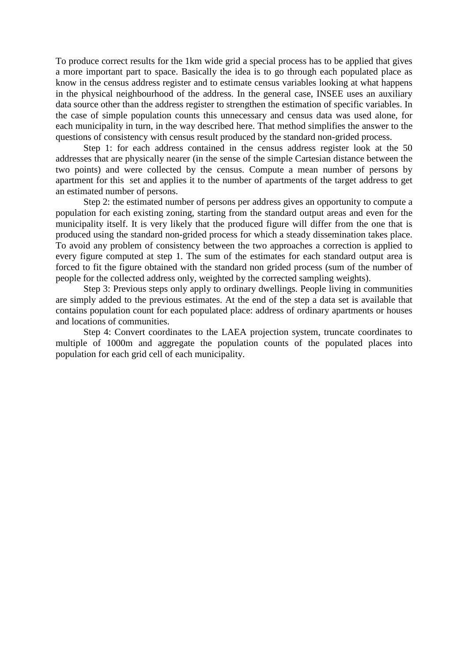To produce correct results for the 1km wide grid a special process has to be applied that gives a more important part to space. Basically the idea is to go through each populated place as know in the census address register and to estimate census variables looking at what happens in the physical neighbourhood of the address. In the general case, INSEE uses an auxiliary data source other than the address register to strengthen the estimation of specific variables. In the case of simple population counts this unnecessary and census data was used alone, for each municipality in turn, in the way described here. That method simplifies the answer to the questions of consistency with census result produced by the standard non-grided process.

 Step 1: for each address contained in the census address register look at the 50 addresses that are physically nearer (in the sense of the simple Cartesian distance between the two points) and were collected by the census. Compute a mean number of persons by apartment for this set and applies it to the number of apartments of the target address to get an estimated number of persons.

 Step 2: the estimated number of persons per address gives an opportunity to compute a population for each existing zoning, starting from the standard output areas and even for the municipality itself. It is very likely that the produced figure will differ from the one that is produced using the standard non-grided process for which a steady dissemination takes place. To avoid any problem of consistency between the two approaches a correction is applied to every figure computed at step 1. The sum of the estimates for each standard output area is forced to fit the figure obtained with the standard non grided process (sum of the number of people for the collected address only, weighted by the corrected sampling weights).

Step 3: Previous steps only apply to ordinary dwellings. People living in communities are simply added to the previous estimates. At the end of the step a data set is available that contains population count for each populated place: address of ordinary apartments or houses and locations of communities.

 Step 4: Convert coordinates to the LAEA projection system, truncate coordinates to multiple of 1000m and aggregate the population counts of the populated places into population for each grid cell of each municipality.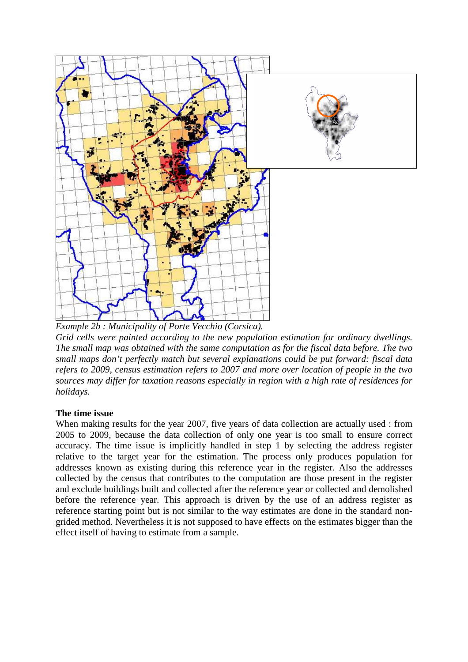

*Example 2b : Municipality of Porte Vecchio (Corsica). Grid cells were painted according to the new population estimation for ordinary dwellings. The small map was obtained with the same computation as for the fiscal data before. The two small maps don't perfectly match but several explanations could be put forward: fiscal data refers to 2009, census estimation refers to 2007 and more over location of people in the two sources may differ for taxation reasons especially in region with a high rate of residences for holidays.* 

# **The time issue**

When making results for the year 2007, five years of data collection are actually used : from 2005 to 2009, because the data collection of only one year is too small to ensure correct accuracy. The time issue is implicitly handled in step 1 by selecting the address register relative to the target year for the estimation. The process only produces population for addresses known as existing during this reference year in the register. Also the addresses collected by the census that contributes to the computation are those present in the register and exclude buildings built and collected after the reference year or collected and demolished before the reference year. This approach is driven by the use of an address register as reference starting point but is not similar to the way estimates are done in the standard nongrided method. Nevertheless it is not supposed to have effects on the estimates bigger than the effect itself of having to estimate from a sample.